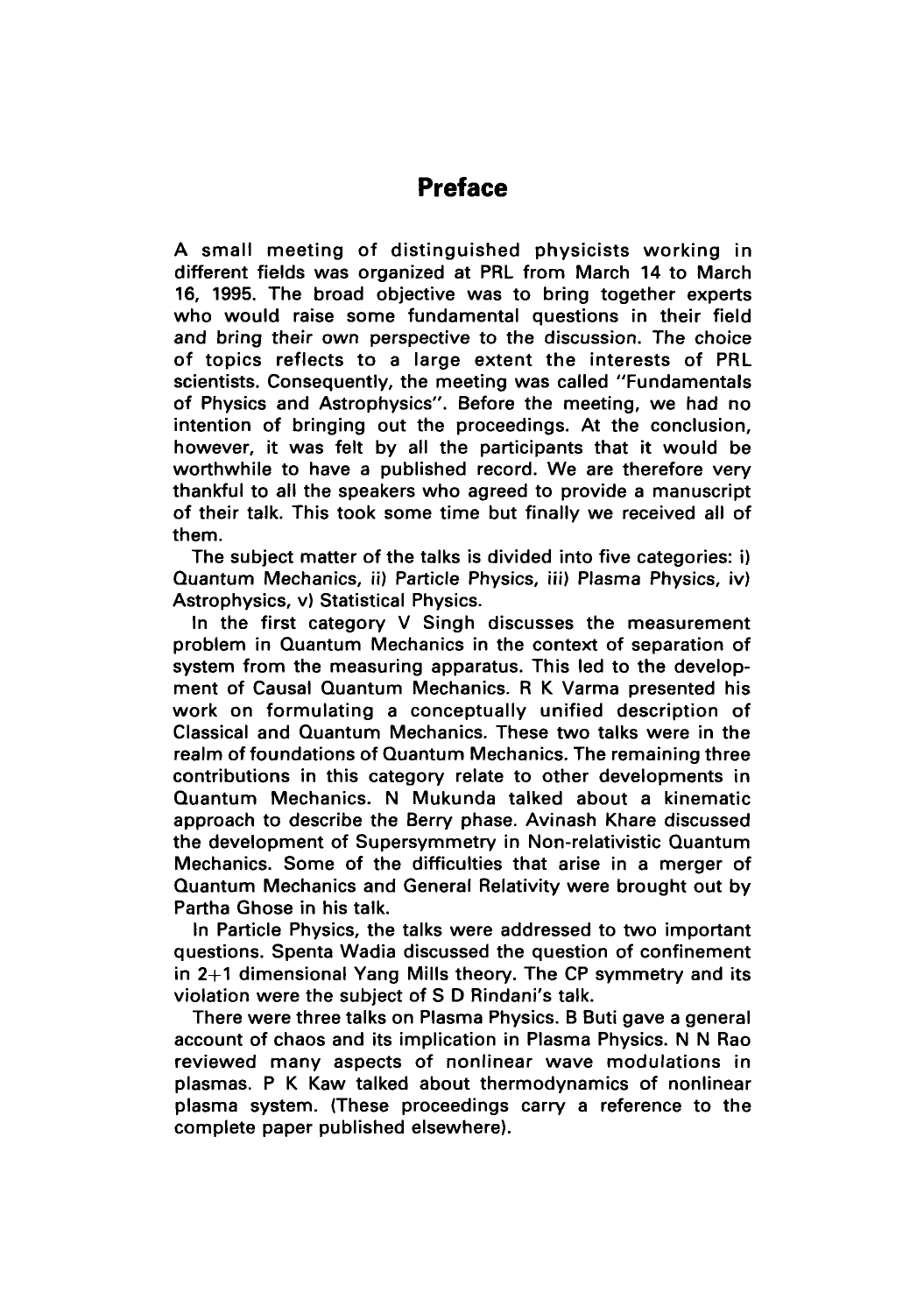## **Preface**

A small meeting of distinguished physicists working in different fields was organized at PRL from March 14 to March 16, 1995. The broad objective was to bring together experts who would raise some fundamental questions in their field and bring their own perspective to the discussion. The choice of topics reflects to a large extent the interests of PRL scientists. Consequently, the meeting was called "Fundamentals of Physics and Astrophysics". Before the meeting, we had no intention of bringing out the proceedings. At the conclusion, however, it was felt by all the participants that it would be worthwhile to have a published record. We are therefore very thankful to all the speakers who agreed to provide a manuscript of their talk. This took some time but finally we received all of them.

The subject matter of the talks is divided into five categories: **i)**  Quantum Mechanics, ii) Particle Physics, iii) Plasma Physics, iv) Astrophysics, v) Statistical Physics.

In the first category V Singh discusses the measurement problem in Quantum Mechanics in the context of separation of system from the measuring apparatus. This led to the development of Causal Quantum Mechanics. R K Varma presented his work on formulating a conceptually unified description of Classical and Quantum Mechanics. These two talks were in the realm of foundations of Quantum Mechanics. The remaining three contributions in this category relate to other developments in Quantum Mechanics. N Mukunda talked about a kinematic approach to describe the Berry phase. Avinash Khare discussed the development of Supersymmetry in Non-relativistic Quantum Mechanics. Some of the difficulties that arise in a merger of Quantum Mechanics and General Relativity were brought out by Partha Ghose in his talk.

In Particle Physics, the talks were addressed to two important questions. Spenta Wadia discussed the question of confinement in 2+1 dimensional Yang Mills theory. The CP symmetry and its violation were the subject of S D Rindani's talk.

There were three talks on Plasma Physics. B Buti gave a general account of chaos and its implication in Plasma Physics. N N Rao reviewed many aspects of nonlinear wave modulations in plasmas. P K Kaw talked about thermodynamics of nonlinear plasma system. (These proceedings carry a reference to the complete paper published elsewhere).